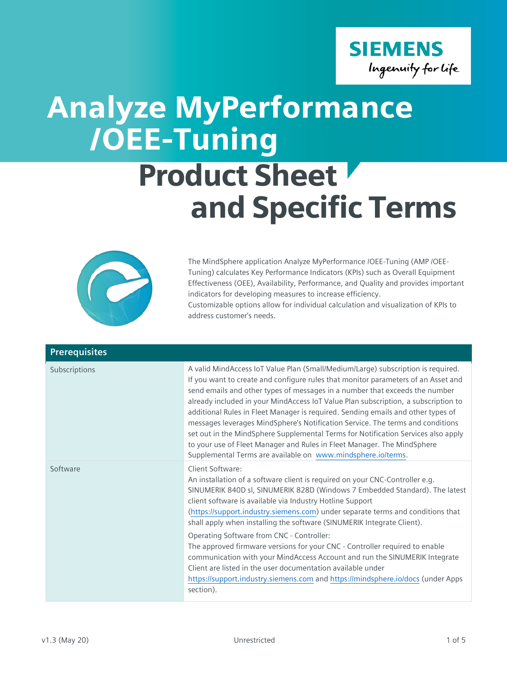

## Analyze MyPerformance /OEE-Tuning

## Product Sheet and Specific Terms



The MindSphere application Analyze MyPerformance /OEE-Tuning (AMP /OEE-Tuning) calculates Key Performance Indicators (KPIs) such as Overall Equipment Effectiveness (OEE), Availability, Performance, and Quality and provides important indicators for developing measures to increase efficiency. Customizable options allow for individual calculation and visualization of KPIs to address customer's needs.

| <b>Prerequisites</b> |                                                                                                                                                                                                                                                                                                                                                                                                                                                                                                                                                                                                                                                                                                                                                  |
|----------------------|--------------------------------------------------------------------------------------------------------------------------------------------------------------------------------------------------------------------------------------------------------------------------------------------------------------------------------------------------------------------------------------------------------------------------------------------------------------------------------------------------------------------------------------------------------------------------------------------------------------------------------------------------------------------------------------------------------------------------------------------------|
| Subscriptions        | A valid MindAccess IoT Value Plan (Small/Medium/Large) subscription is required.<br>If you want to create and configure rules that monitor parameters of an Asset and<br>send emails and other types of messages in a number that exceeds the number<br>already included in your MindAccess IoT Value Plan subscription, a subscription to<br>additional Rules in Fleet Manager is required. Sending emails and other types of<br>messages leverages MindSphere's Notification Service. The terms and conditions<br>set out in the MindSphere Supplemental Terms for Notification Services also apply<br>to your use of Fleet Manager and Rules in Fleet Manager. The MindSphere<br>Supplemental Terms are available on www.mindsphere.io/terms. |
| Software             | Client Software:<br>An installation of a software client is required on your CNC-Controller e.g.<br>SINUMERIK 840D sl, SINUMERIK 828D (Windows 7 Embedded Standard). The latest<br>client software is available via Industry Hotline Support<br>(https://support.industry.siemens.com) under separate terms and conditions that<br>shall apply when installing the software (SINUMERIK Integrate Client).                                                                                                                                                                                                                                                                                                                                        |
|                      | Operating Software from CNC - Controller:<br>The approved firmware versions for your CNC - Controller required to enable<br>communication with your MindAccess Account and run the SINUMERIK Integrate<br>Client are listed in the user documentation available under<br>https://support.industry.siemens.com and https://mindsphere.io/docs (under Apps<br>section).                                                                                                                                                                                                                                                                                                                                                                            |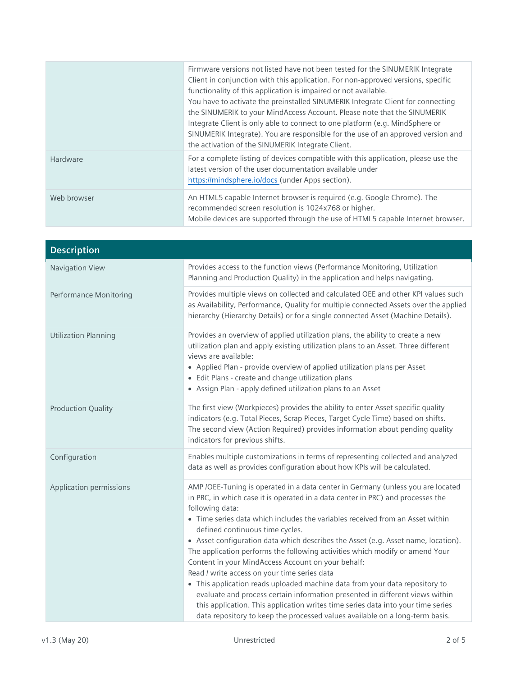|             | Firmware versions not listed have not been tested for the SINUMERIK Integrate<br>Client in conjunction with this application. For non-approved versions, specific<br>functionality of this application is impaired or not available.<br>You have to activate the preinstalled SINUMERIK Integrate Client for connecting<br>the SINUMERIK to your MindAccess Account. Please note that the SINUMERIK<br>Integrate Client is only able to connect to one platform (e.g. MindSphere or<br>SINUMERIK Integrate). You are responsible for the use of an approved version and<br>the activation of the SINUMERIK Integrate Client. |
|-------------|------------------------------------------------------------------------------------------------------------------------------------------------------------------------------------------------------------------------------------------------------------------------------------------------------------------------------------------------------------------------------------------------------------------------------------------------------------------------------------------------------------------------------------------------------------------------------------------------------------------------------|
| Hardware    | For a complete listing of devices compatible with this application, please use the<br>latest version of the user documentation available under<br>https://mindsphere.io/docs (under Apps section).                                                                                                                                                                                                                                                                                                                                                                                                                           |
| Web browser | An HTML5 capable Internet browser is required (e.g. Google Chrome). The<br>recommended screen resolution is 1024x768 or higher.<br>Mobile devices are supported through the use of HTML5 capable Internet browser.                                                                                                                                                                                                                                                                                                                                                                                                           |

| <b>Description</b>            |                                                                                                                                                                                                                                                                                                                                                                                                                                                                                                                                                                                                                                                                                                                                                                                                                                                                                                                         |
|-------------------------------|-------------------------------------------------------------------------------------------------------------------------------------------------------------------------------------------------------------------------------------------------------------------------------------------------------------------------------------------------------------------------------------------------------------------------------------------------------------------------------------------------------------------------------------------------------------------------------------------------------------------------------------------------------------------------------------------------------------------------------------------------------------------------------------------------------------------------------------------------------------------------------------------------------------------------|
| Navigation View               | Provides access to the function views (Performance Monitoring, Utilization<br>Planning and Production Quality) in the application and helps navigating.                                                                                                                                                                                                                                                                                                                                                                                                                                                                                                                                                                                                                                                                                                                                                                 |
| <b>Performance Monitoring</b> | Provides multiple views on collected and calculated OEE and other KPI values such<br>as Availability, Performance, Quality for multiple connected Assets over the applied<br>hierarchy (Hierarchy Details) or for a single connected Asset (Machine Details).                                                                                                                                                                                                                                                                                                                                                                                                                                                                                                                                                                                                                                                           |
| <b>Utilization Planning</b>   | Provides an overview of applied utilization plans, the ability to create a new<br>utilization plan and apply existing utilization plans to an Asset. Three different<br>views are available:<br>• Applied Plan - provide overview of applied utilization plans per Asset<br>• Edit Plans - create and change utilization plans<br>• Assign Plan - apply defined utilization plans to an Asset                                                                                                                                                                                                                                                                                                                                                                                                                                                                                                                           |
| <b>Production Quality</b>     | The first view (Workpieces) provides the ability to enter Asset specific quality<br>indicators (e.g. Total Pieces, Scrap Pieces, Target Cycle Time) based on shifts.<br>The second view (Action Required) provides information about pending quality<br>indicators for previous shifts.                                                                                                                                                                                                                                                                                                                                                                                                                                                                                                                                                                                                                                 |
| Configuration                 | Enables multiple customizations in terms of representing collected and analyzed<br>data as well as provides configuration about how KPIs will be calculated.                                                                                                                                                                                                                                                                                                                                                                                                                                                                                                                                                                                                                                                                                                                                                            |
| Application permissions       | AMP /OEE-Tuning is operated in a data center in Germany (unless you are located<br>in PRC, in which case it is operated in a data center in PRC) and processes the<br>following data:<br>• Time series data which includes the variables received from an Asset within<br>defined continuous time cycles.<br>• Asset configuration data which describes the Asset (e.g. Asset name, location).<br>The application performs the following activities which modify or amend Your<br>Content in your MindAccess Account on your behalf:<br>Read / write access on your time series data<br>• This application reads uploaded machine data from your data repository to<br>evaluate and process certain information presented in different views within<br>this application. This application writes time series data into your time series<br>data repository to keep the processed values available on a long-term basis. |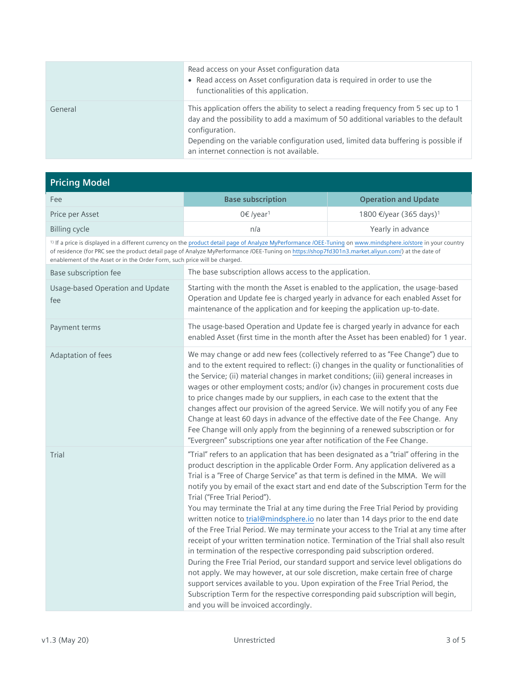|         | Read access on your Asset configuration data<br>• Read access on Asset configuration data is required in order to use the<br>functionalities of this application.                                                                                                                                                               |
|---------|---------------------------------------------------------------------------------------------------------------------------------------------------------------------------------------------------------------------------------------------------------------------------------------------------------------------------------|
| General | This application offers the ability to select a reading frequency from 5 sec up to 1<br>day and the possibility to add a maximum of 50 additional variables to the default<br>configuration.<br>Depending on the variable configuration used, limited data buffering is possible if<br>an internet connection is not available. |

## **Pricing Model**

| Fee                                     | <b>Base subscription</b>                                                                                                                                                                                                                                                                                                                                                                                                                                                                                                                                                                                                                                                                                                                                                                                                                                                                                                                                                                                                                                                                                                                                                                                                  | <b>Operation and Update</b>         |
|-----------------------------------------|---------------------------------------------------------------------------------------------------------------------------------------------------------------------------------------------------------------------------------------------------------------------------------------------------------------------------------------------------------------------------------------------------------------------------------------------------------------------------------------------------------------------------------------------------------------------------------------------------------------------------------------------------------------------------------------------------------------------------------------------------------------------------------------------------------------------------------------------------------------------------------------------------------------------------------------------------------------------------------------------------------------------------------------------------------------------------------------------------------------------------------------------------------------------------------------------------------------------------|-------------------------------------|
| Price per Asset                         | 0€ /year <sup>1</sup>                                                                                                                                                                                                                                                                                                                                                                                                                                                                                                                                                                                                                                                                                                                                                                                                                                                                                                                                                                                                                                                                                                                                                                                                     | 1800 €/year (365 days) <sup>1</sup> |
| <b>Billing cycle</b>                    | n/a                                                                                                                                                                                                                                                                                                                                                                                                                                                                                                                                                                                                                                                                                                                                                                                                                                                                                                                                                                                                                                                                                                                                                                                                                       | Yearly in advance                   |
|                                         | <sup>1)</sup> If a price is displayed in a different currency on the product detail page of Analyze MyPerformance /OEE-Tuning on www.mindsphere.io/store in your country<br>of residence (for PRC see the product detail page of Analyze MyPerformance /OEE-Tuning on https://shop7fd301n3.market.aliyun.com/) at the date of<br>enablement of the Asset or in the Order Form, such price will be charged.                                                                                                                                                                                                                                                                                                                                                                                                                                                                                                                                                                                                                                                                                                                                                                                                                |                                     |
| Base subscription fee                   | The base subscription allows access to the application.                                                                                                                                                                                                                                                                                                                                                                                                                                                                                                                                                                                                                                                                                                                                                                                                                                                                                                                                                                                                                                                                                                                                                                   |                                     |
| Usage-based Operation and Update<br>fee | Starting with the month the Asset is enabled to the application, the usage-based<br>Operation and Update fee is charged yearly in advance for each enabled Asset for<br>maintenance of the application and for keeping the application up-to-date.                                                                                                                                                                                                                                                                                                                                                                                                                                                                                                                                                                                                                                                                                                                                                                                                                                                                                                                                                                        |                                     |
| Payment terms                           | The usage-based Operation and Update fee is charged yearly in advance for each<br>enabled Asset (first time in the month after the Asset has been enabled) for 1 year.                                                                                                                                                                                                                                                                                                                                                                                                                                                                                                                                                                                                                                                                                                                                                                                                                                                                                                                                                                                                                                                    |                                     |
| Adaptation of fees                      | We may change or add new fees (collectively referred to as "Fee Change") due to<br>and to the extent required to reflect: (i) changes in the quality or functionalities of<br>the Service; (ii) material changes in market conditions; (iii) general increases in<br>wages or other employment costs; and/or (iv) changes in procurement costs due<br>to price changes made by our suppliers, in each case to the extent that the<br>changes affect our provision of the agreed Service. We will notify you of any Fee<br>Change at least 60 days in advance of the effective date of the Fee Change. Any<br>Fee Change will only apply from the beginning of a renewed subscription or for<br>"Evergreen" subscriptions one year after notification of the Fee Change.                                                                                                                                                                                                                                                                                                                                                                                                                                                   |                                     |
| Trial                                   | "Trial" refers to an application that has been designated as a "trial" offering in the<br>product description in the applicable Order Form. Any application delivered as a<br>Trial is a "Free of Charge Service" as that term is defined in the MMA. We will<br>notify you by email of the exact start and end date of the Subscription Term for the<br>Trial ("Free Trial Period").<br>You may terminate the Trial at any time during the Free Trial Period by providing<br>written notice to trial@mindsphere.io no later than 14 days prior to the end date<br>of the Free Trial Period. We may terminate your access to the Trial at any time after<br>receipt of your written termination notice. Termination of the Trial shall also result<br>in termination of the respective corresponding paid subscription ordered.<br>During the Free Trial Period, our standard support and service level obligations do<br>not apply. We may however, at our sole discretion, make certain free of charge<br>support services available to you. Upon expiration of the Free Trial Period, the<br>Subscription Term for the respective corresponding paid subscription will begin,<br>and you will be invoiced accordingly. |                                     |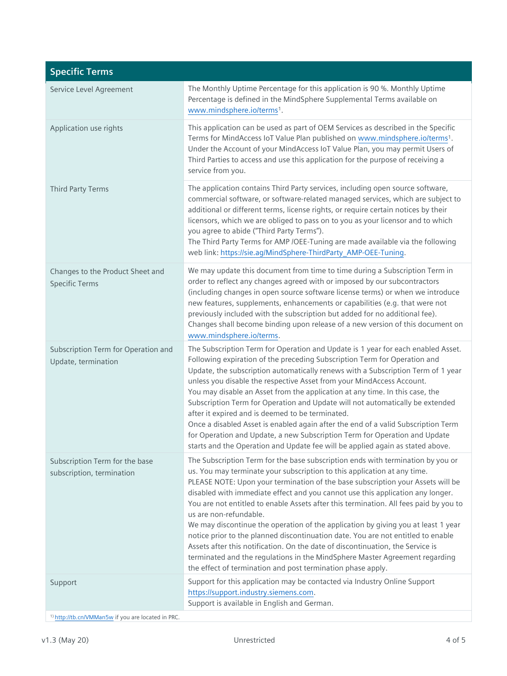| <b>Specific Terms</b>                                       |                                                                                                                                                                                                                                                                                                                                                                                                                                                                                                                                                                                                                                                                                                                                                                                                                                                              |
|-------------------------------------------------------------|--------------------------------------------------------------------------------------------------------------------------------------------------------------------------------------------------------------------------------------------------------------------------------------------------------------------------------------------------------------------------------------------------------------------------------------------------------------------------------------------------------------------------------------------------------------------------------------------------------------------------------------------------------------------------------------------------------------------------------------------------------------------------------------------------------------------------------------------------------------|
| Service Level Agreement                                     | The Monthly Uptime Percentage for this application is 90 %. Monthly Uptime<br>Percentage is defined in the MindSphere Supplemental Terms available on<br>www.mindsphere.io/terms <sup>1</sup> .                                                                                                                                                                                                                                                                                                                                                                                                                                                                                                                                                                                                                                                              |
| Application use rights                                      | This application can be used as part of OEM Services as described in the Specific<br>Terms for MindAccess IoT Value Plan published on www.mindsphere.io/terms <sup>1</sup> .<br>Under the Account of your MindAccess IoT Value Plan, you may permit Users of<br>Third Parties to access and use this application for the purpose of receiving a<br>service from you.                                                                                                                                                                                                                                                                                                                                                                                                                                                                                         |
| Third Party Terms                                           | The application contains Third Party services, including open source software,<br>commercial software, or software-related managed services, which are subject to<br>additional or different terms, license rights, or require certain notices by their<br>licensors, which we are obliged to pass on to you as your licensor and to which<br>you agree to abide ("Third Party Terms").<br>The Third Party Terms for AMP /OEE-Tuning are made available via the following<br>web link: https://sie.ag/MindSphere-ThirdParty_AMP-OEE-Tuning.                                                                                                                                                                                                                                                                                                                  |
| Changes to the Product Sheet and<br><b>Specific Terms</b>   | We may update this document from time to time during a Subscription Term in<br>order to reflect any changes agreed with or imposed by our subcontractors<br>(including changes in open source software license terms) or when we introduce<br>new features, supplements, enhancements or capabilities (e.g. that were not<br>previously included with the subscription but added for no additional fee).<br>Changes shall become binding upon release of a new version of this document on<br>www.mindsphere.io/terms.                                                                                                                                                                                                                                                                                                                                       |
| Subscription Term for Operation and<br>Update, termination  | The Subscription Term for Operation and Update is 1 year for each enabled Asset.<br>Following expiration of the preceding Subscription Term for Operation and<br>Update, the subscription automatically renews with a Subscription Term of 1 year<br>unless you disable the respective Asset from your MindAccess Account.<br>You may disable an Asset from the application at any time. In this case, the<br>Subscription Term for Operation and Update will not automatically be extended<br>after it expired and is deemed to be terminated.<br>Once a disabled Asset is enabled again after the end of a valid Subscription Term<br>for Operation and Update, a new Subscription Term for Operation and Update<br>starts and the Operation and Update fee will be applied again as stated above.                                                         |
| Subscription Term for the base<br>subscription, termination | The Subscription Term for the base subscription ends with termination by you or<br>us. You may terminate your subscription to this application at any time.<br>PLEASE NOTE: Upon your termination of the base subscription your Assets will be<br>disabled with immediate effect and you cannot use this application any longer.<br>You are not entitled to enable Assets after this termination. All fees paid by you to<br>us are non-refundable.<br>We may discontinue the operation of the application by giving you at least 1 year<br>notice prior to the planned discontinuation date. You are not entitled to enable<br>Assets after this notification. On the date of discontinuation, the Service is<br>terminated and the regulations in the MindSphere Master Agreement regarding<br>the effect of termination and post termination phase apply. |
| Support                                                     | Support for this application may be contacted via Industry Online Support<br>https://support.industry.siemens.com.<br>Support is available in English and German.                                                                                                                                                                                                                                                                                                                                                                                                                                                                                                                                                                                                                                                                                            |

1) <http://tb.cn/VMMan5w> if you are located in PRC.